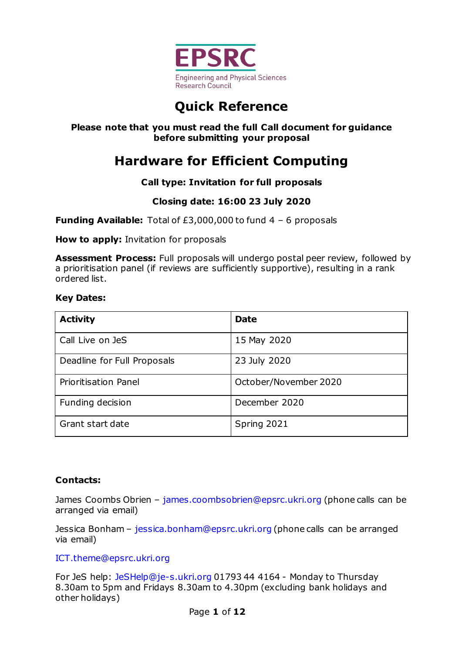

# **Quick Reference**

#### **Please note that you must read the full Call document for guidance before submitting your proposal**

# **Hardware for Efficient Computing**

#### **Call type: Invitation for full proposals**

#### **Closing date: 16:00 23 July 2020**

**Funding Available:** Total of £3,000,000 to fund 4 – 6 proposals

**How to apply:** Invitation for proposals

**Assessment Process:** Full proposals will undergo postal peer review, followed by a prioritisation panel (if reviews are sufficiently supportive), resulting in a rank ordered list.

#### **Key Dates:**

| <b>Activity</b>             | <b>Date</b>           |
|-----------------------------|-----------------------|
| Call Live on JeS            | 15 May 2020           |
| Deadline for Full Proposals | 23 July 2020          |
| <b>Prioritisation Panel</b> | October/November 2020 |
| Funding decision            | December 2020         |
| Grant start date            | Spring 2021           |

#### **Contacts:**

James Coombs Obrien - [james.coombsobrien@epsrc.ukri.org](mailto:james.coombsobrien@epsrc.ukri.org) (phone calls can be arranged via email)

Jessica Bonham – [jessica.bonham@epsrc.ukri.org](mailto:jessica.bonham@epsrc.ukri.org) (phone calls can be arranged via email)

#### [ICT.theme@epsrc.ukri.org](mailto:ICT.theme@epsrc.ukri.org)

For JeS help: [JeSHelp@je-s.ukri.org](mailto:JeSHelp@je-s.ukri.org) 01793 44 4164 - Monday to Thursday 8.30am to 5pm and Fridays 8.30am to 4.30pm (excluding bank holidays and other holidays)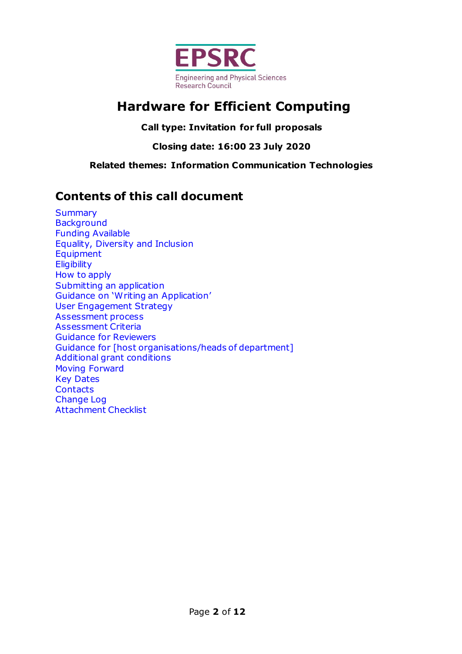

# **Hardware for Efficient Computing**

**Call type: Invitation for full proposals**

**Closing date: 16:00 23 July 2020**

**Related themes: Information Communication Technologies**

### **Contents of this call document**

<span id="page-1-0"></span>**[Summary](#page-1-0) [Background](#page-2-0)** [Funding Available](#page-3-0) [Equality, Diversity and Inclusion](#page-4-0) [Equipment](#page-4-0) **[Eligibility](#page-5-0)** [How](#page-5-1) to apply [Submitting an application](#page-5-2) Guidance on '[Writing an Application](#page-6-0)' [User Engagement Strategy](#page-7-0) [Assessment process](#page-7-1) [Assessment Criteria](#page-7-2) [Guidance for Reviewers](#page-8-0) [Guidance for \[host organisations/heads of department\]](#page-9-0) Additional grant conditions [Moving Forward](#page-8-0) [Key Dates](#page-9-1) **[Contacts](#page-9-2)** [Change Log](#page-9-3) [Attachment Checklist](#page-10-0)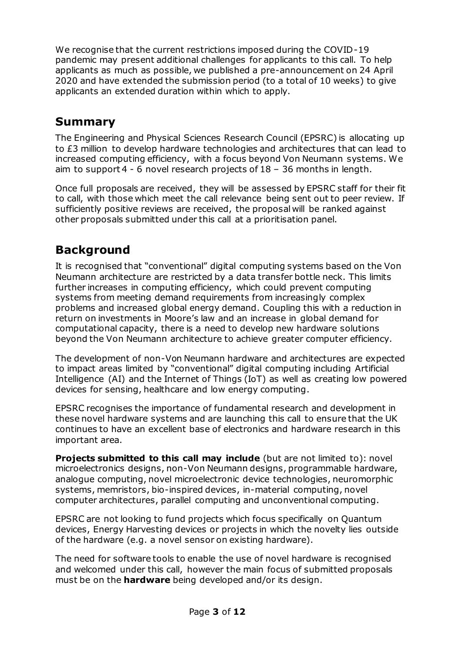We recognise that the current restrictions imposed during the COVID-19 pandemic may present additional challenges for applicants to this call. To help applicants as much as possible, we published a pre-announcement on 24 April 2020 and have extended the submission period (to a total of 10 weeks) to give applicants an extended duration within which to apply.

## **[Summary](#page-10-0)**

The Engineering and Physical Sciences Research Council (EPSRC) is allocating up to £3 million to develop hardware technologies and architectures that can lead to increased computing efficiency, with a focus beyond Von Neumann systems. We aim to support 4 - 6 novel research projects of 18 – 36 months in length.

Once full proposals are received, they will be assessed by EPSRC staff for their fit to call, with those which meet the call relevance being sent out to peer review. If sufficiently positive reviews are received, the proposal will be ranked against other proposals submitted under this call at a prioritisation panel.

## <span id="page-2-0"></span>**Background**

It is recognised that "conventional" digital computing systems based on the Von Neumann architecture are restricted by a data transfer bottle neck. This limits further increases in computing efficiency, which could prevent computing systems from meeting demand requirements from increasingly complex problems and increased global energy demand. Coupling this with a reduction in return on investments in Moore's law and an increase in global demand for computational capacity, there is a need to develop new hardware solutions beyond the Von Neumann architecture to achieve greater computer efficiency.

The development of non-Von Neumann hardware and architectures are expected to impact areas limited by "conventional" digital computing including Artificial Intelligence (AI) and the Internet of Things (IoT) as well as creating low powered devices for sensing, healthcare and low energy computing.

EPSRC recognises the importance of fundamental research and development in these novel hardware systems and are launching this call to ensure that the UK continues to have an excellent base of electronics and hardware research in this important area.

**Projects submitted to this call may include** (but are not limited to): novel microelectronics designs, non-Von Neumann designs, programmable hardware, analogue computing, novel microelectronic device technologies, neuromorphic systems, memristors, bio-inspired devices, in-material computing, novel computer architectures, parallel computing and unconventional computing.

EPSRC are not looking to fund projects which focus specifically on Quantum devices, Energy Harvesting devices or projects in which the novelty lies outside of the hardware (e.g. a novel sensor on existing hardware).

The need for software tools to enable the use of novel hardware is recognised and welcomed under this call, however the main focus of submitted proposals must be on the **hardware** being developed and/or its design.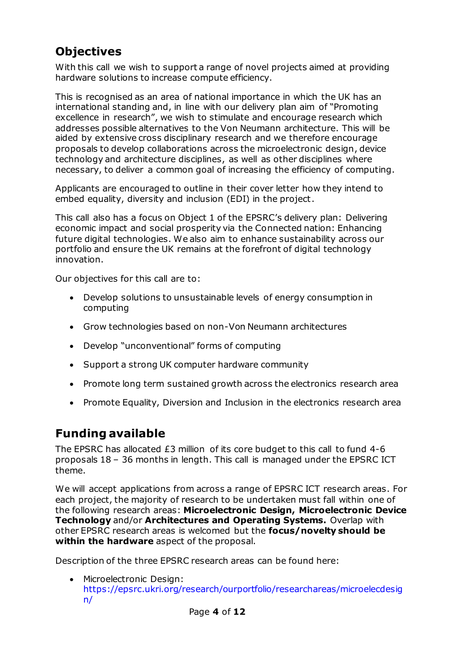# <span id="page-3-0"></span>**Objectives**

With this call we wish to support a range of novel projects aimed at providing hardware solutions to increase compute efficiency.

This is recognised as an area of national importance in which the UK has an international standing and, in line with our delivery plan aim of "Promoting excellence in research", we wish to stimulate and encourage research which addresses possible alternatives to the Von Neumann architecture. This will be aided by extensive cross disciplinary research and we therefore encourage proposals to develop collaborations across the microelectronic design, device technology and architecture disciplines, as well as other disciplines where necessary, to deliver a common goal of increasing the efficiency of computing.

Applicants are encouraged to outline in their cover letter how they intend to embed equality, diversity and inclusion (EDI) in the project.

This call also has a focus on Object 1 of the EPSRC's delivery plan: Delivering economic impact and social prosperity via the Connected nation: Enhancing future digital technologies. We also aim to enhance sustainability across our portfolio and ensure the UK remains at the forefront of digital technology innovation.

Our objectives for this call are to:

- Develop solutions to unsustainable levels of energy consumption in computing
- Grow technologies based on non-Von Neumann architectures
- Develop "unconventional" forms of computing
- Support a strong UK computer hardware community
- Promote long term sustained growth across the electronics research area
- Promote Equality, Diversion and Inclusion in the electronics research area

### **Funding available**

The EPSRC has allocated £3 million of its core budget to this call to fund 4-6 proposals 18 – 36 months in length. This call is managed under the EPSRC ICT theme.

We will accept applications from across a range of EPSRC ICT research areas. For each project, the majority of research to be undertaken must fall within one of the following research areas: **Microelectronic Design, Microelectronic Device Technology** and/or **Architectures and Operating Systems.** Overlap with other EPSRC research areas is welcomed but the **focus/novelty should be within the hardware** aspect of the proposal.

Description of the three EPSRC research areas can be found here:

• Microelectronic Design: [https://epsrc.ukri.org/research/ourportfolio/researchareas/microelecdesig](https://epsrc.ukri.org/research/ourportfolio/researchareas/microelecdesign/) [n/](https://epsrc.ukri.org/research/ourportfolio/researchareas/microelecdesign/)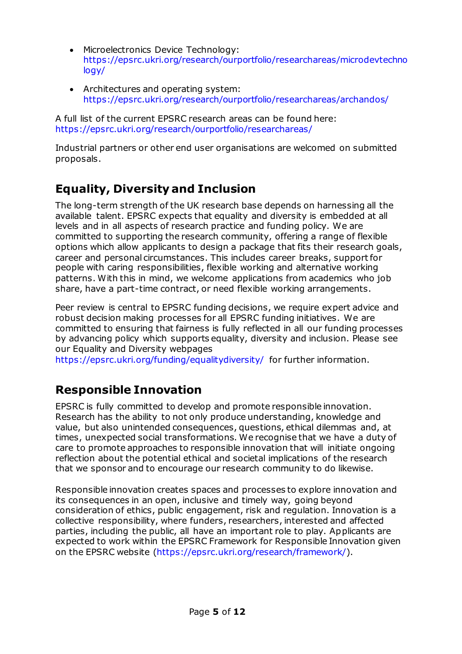- Microelectronics Device Technology: [https://epsrc.ukri.org/research/ourportfolio/researchareas/microdevtechno](https://epsrc.ukri.org/research/ourportfolio/researchareas/microdevtechnology/) [logy/](https://epsrc.ukri.org/research/ourportfolio/researchareas/microdevtechnology/)
- Architectures and operating system: <https://epsrc.ukri.org/research/ourportfolio/researchareas/archandos/>

A full list of the current EPSRC research areas can be found here: <https://epsrc.ukri.org/research/ourportfolio/researchareas/>

Industrial partners or other end user organisations are welcomed on submitted proposals.

# <span id="page-4-0"></span>**Equality, Diversity and Inclusion**

The long-term strength of the UK research base depends on harnessing all the available talent. EPSRC expects that equality and diversity is embedded at all levels and in all aspects of research practice and funding policy. We are committed to supporting the research community, offering a range of flexible options which allow applicants to design a package that fits their research goals, career and personal circumstances. This includes career breaks, support for people with caring responsibilities, flexible working and alternative working patterns. With this in mind, we welcome applications from academics who job share, have a part-time contract, or need flexible working arrangements.

Peer review is central to EPSRC funding decisions, we require expert advice and robust decision making processes for all EPSRC funding initiatives. We are committed to ensuring that fairness is fully reflected in all our funding processes by advancing policy which supports equality, diversity and inclusion. Please see our Equality and Diversity webpages

<https://epsrc.ukri.org/funding/equalitydiversity/> for further information.

## **Responsible Innovation**

EPSRC is fully committed to develop and promote responsible innovation. Research has the ability to not only produce understanding, knowledge and value, but also unintended consequences, questions, ethical dilemmas and, at times, unexpected social transformations. We recognise that we have a duty of care to promote approaches to responsible innovation that will initiate ongoing reflection about the potential ethical and societal implications of the research that we sponsor and to encourage our research community to do likewise.

Responsible innovation creates spaces and processes to explore innovation and its consequences in an open, inclusive and timely way, going beyond consideration of ethics, public engagement, risk and regulation. Innovation is a collective responsibility, where funders, researchers, interested and affected parties, including the public, all have an important role to play. Applicants are expected to work within the EPSRC Framework for Responsible Innovation given on the EPSRC website [\(https://epsrc.ukri.org/research/framework/](https://epsrc.ukri.org/research/framework/)).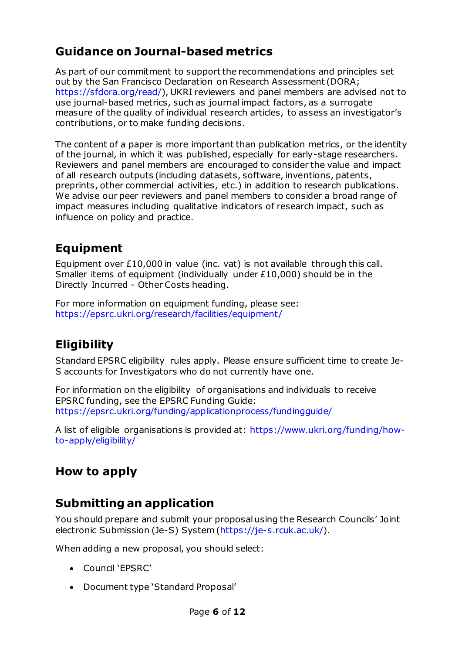# **Guidance on Journal-based metrics**

As part of our commitment to support the recommendations and principles set out by the San Francisco Declaration on Research Assessment (DORA; <https://sfdora.org/read/>), UKRI reviewers and panel members are advised not to use journal-based metrics, such as journal impact factors, as a surrogate measure of the quality of individual research articles, to assess an investigator's contributions, or to make funding decisions.

The content of a paper is more important than publication metrics, or the identity of the journal, in which it was published, especially for early-stage researchers. Reviewers and panel members are encouraged to consider the value and impact of all research outputs (including datasets, software, inventions, patents, preprints, other commercial activities, etc.) in addition to research publications. We advise our peer reviewers and panel members to consider a broad range of impact measures including qualitative indicators of research impact, such as influence on policy and practice.

## **Equipment**

Equipment over £10,000 in value (inc. vat) is not available through this call. Smaller items of equipment (individually under £10,000) should be in the Directly Incurred - Other Costs heading.

For more information on equipment funding, please see: <https://epsrc.ukri.org/research/facilities/equipment/>

# <span id="page-5-0"></span>**Eligibility**

Standard EPSRC eligibility rules apply. Please ensure sufficient time to create Je-S accounts for Investigators who do not currently have one.

For information on the eligibility of organisations and individuals to receive EPSRC funding, see the EPSRC Funding Guide: <https://epsrc.ukri.org/funding/applicationprocess/fundingguide/>

A list of eligible organisations is provided at: [https://www.ukri.org/funding/how](https://www.ukri.org/funding/how-to-apply/eligibility/)[to-apply/eligibility/](https://www.ukri.org/funding/how-to-apply/eligibility/)

## <span id="page-5-1"></span>**How to apply**

## <span id="page-5-2"></span>**Submitting an application**

You should prepare and submit your proposal using the Research Councils' Joint electronic Submission (Je-S) System [\(https://je-s.rcuk.ac.uk/](https://je-s.rcuk.ac.uk/)).

When adding a new proposal, you should select:

- Council 'EPSRC'
- Document type 'Standard Proposal'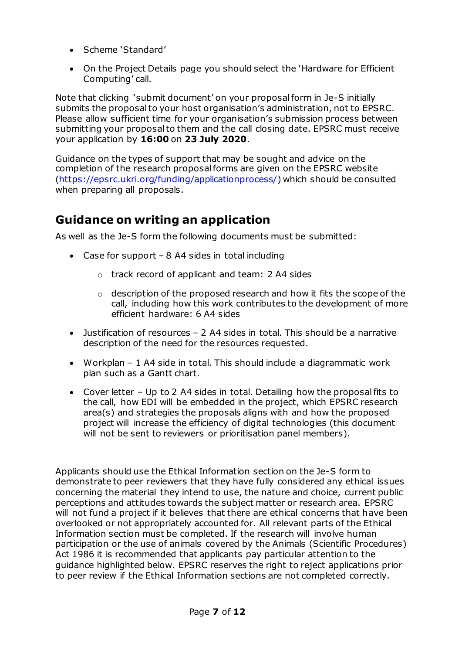- Scheme 'Standard'
- On the Project Details page you should select the 'Hardware for Efficient Computing' call.

Note that clicking 'submit document' on your proposal form in Je-S initially submits the proposal to your host organisation's administration, not to EPSRC. Please allow sufficient time for your organisation's submission process between submitting your proposal to them and the call closing date. EPSRC must receive your application by **16:00** on **23 July 2020**.

Guidance on the types of support that may be sought and advice on the completion of the research proposal forms are given on the EPSRC website [\(https://epsrc.ukri.org/funding/applicationprocess/](https://epsrc.ukri.org/funding/applicationprocess/)) which should be consulted when preparing all proposals.

### <span id="page-6-0"></span>**Guidance on writing an application**

As well as the Je-S form the following documents must be submitted:

- Case for support 8 A4 sides in total including
	- o track record of applicant and team: 2 A4 sides
	- $\circ$  description of the proposed research and how it fits the scope of the call, including how this work contributes to the development of more efficient hardware: 6 A4 sides
- Justification of resources 2 A4 sides in total. This should be a narrative description of the need for the resources requested.
- Workplan 1 A4 side in total. This should include a diagrammatic work plan such as a Gantt chart.
- Cover letter Up to 2 A4 sides in total. Detailing how the proposal fits to the call, how EDI will be embedded in the project, which EPSRC research area(s) and strategies the proposals aligns with and how the proposed project will increase the efficiency of digital technologies (this document will not be sent to reviewers or prioritisation panel members).

Applicants should use the Ethical Information section on the Je-S form to demonstrate to peer reviewers that they have fully considered any ethical issues concerning the material they intend to use, the nature and choice, current public perceptions and attitudes towards the subject matter or research area. EPSRC will not fund a project if it believes that there are ethical concerns that have been overlooked or not appropriately accounted for. All relevant parts of the Ethical Information section must be completed. If the research will involve human participation or the use of animals covered by the Animals (Scientific Procedures) Act 1986 it is recommended that applicants pay particular attention to the guidance highlighted below. EPSRC reserves the right to reject applications prior to peer review if the Ethical Information sections are not completed correctly.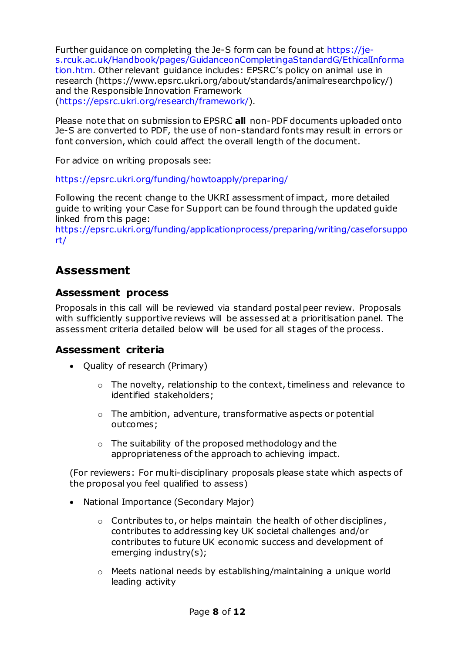Further guidance on completing the Je-S form can be found at [https://je](https://je-s.rcuk.ac.uk/Handbook/pages/GuidanceonCompletingaStandardG/EthicalInformation.htm)[s.rcuk.ac.uk/Handbook/pages/GuidanceonCompletingaStandardG/EthicalInforma](https://je-s.rcuk.ac.uk/Handbook/pages/GuidanceonCompletingaStandardG/EthicalInformation.htm) [tion.htm.](https://je-s.rcuk.ac.uk/Handbook/pages/GuidanceonCompletingaStandardG/EthicalInformation.htm) Other relevant guidance includes: EPSRC's policy on animal use in research (https://www.epsrc.ukri.org/about/standards/animalresearchpolicy/) and the Responsible Innovation Framework [\(https://epsrc.ukri.org/research/framework/](https://epsrc.ukri.org/research/framework/)).

Please note that on submission to EPSRC **all** non-PDF documents uploaded onto Je-S are converted to PDF, the use of non-standard fonts may result in errors or font conversion, which could affect the overall length of the document.

For advice on writing proposals see:

<https://epsrc.ukri.org/funding/howtoapply/preparing/>

Following the recent change to the UKRI assessment of impact, more detailed guide to writing your Case for Support can be found through the updated guide linked from this page:

[https://epsrc.ukri.org/funding/applicationprocess/preparing/writing/caseforsuppo](https://epsrc.ukri.org/funding/applicationprocess/preparing/writing/caseforsupport/) [rt/](https://epsrc.ukri.org/funding/applicationprocess/preparing/writing/caseforsupport/)

### <span id="page-7-0"></span>**Assessment**

#### <span id="page-7-1"></span>**Assessment process**

Proposals in this call will be reviewed via standard postal peer review. Proposals with sufficiently supportive reviews will be assessed at a prioritisation panel. The assessment criteria detailed below will be used for all stages of the process.

#### <span id="page-7-2"></span>**Assessment criteria**

- Quality of research (Primary)
	- o The novelty, relationship to the context, timeliness and relevance to identified stakeholders;
	- o The ambition, adventure, transformative aspects or potential outcomes;
	- o The suitability of the proposed methodology and the appropriateness of the approach to achieving impact.

(For reviewers: For multi-disciplinary proposals please state which aspects of the proposal you feel qualified to assess)

- National Importance (Secondary Major)
	- o Contributes to, or helps maintain the health of other disciplines, contributes to addressing key UK societal challenges and/or contributes to future UK economic success and development of emerging industry(s);
	- $\circ$  Meets national needs by establishing/maintaining a unique world leading activity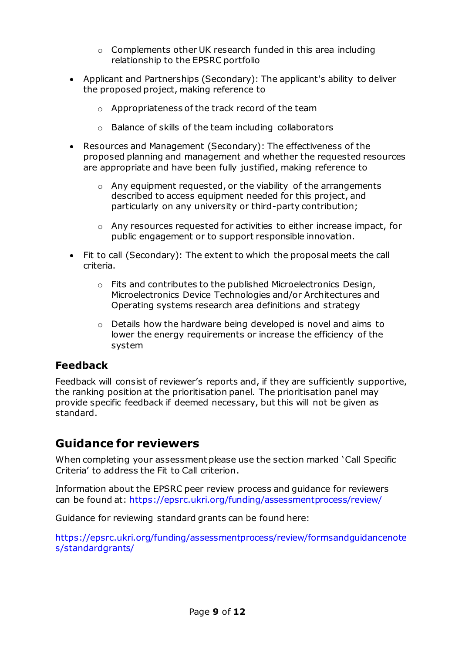- o Complements other UK research funded in this area including relationship to the EPSRC portfolio
- Applicant and Partnerships (Secondary): The applicant's ability to deliver the proposed project, making reference to
	- o Appropriateness of the track record of the team
	- o Balance of skills of the team including collaborators
- Resources and Management (Secondary): The effectiveness of the proposed planning and management and whether the requested resources are appropriate and have been fully justified, making reference to
	- o Any equipment requested, or the viability of the arrangements described to access equipment needed for this project, and particularly on any university or third-party contribution;
	- o Any resources requested for activities to either increase impact, for public engagement or to support responsible innovation.
- Fit to call (Secondary): The extent to which the proposal meets the call criteria.
	- o Fits and contributes to the published Microelectronics Design, Microelectronics Device Technologies and/or Architectures and Operating systems research area definitions and strategy
	- o Details how the hardware being developed is novel and aims to lower the energy requirements or increase the efficiency of the system

### **Feedback**

Feedback will consist of reviewer's reports and, if they are sufficiently supportive, the ranking position at the prioritisation panel. The prioritisation panel may provide specific feedback if deemed necessary, but this will not be given as standard.

### <span id="page-8-0"></span>**Guidance for reviewers**

When completing your assessment please use the section marked 'Call Specific Criteria' to address the Fit to Call criterion.

Information about the EPSRC peer review process and guidance for reviewers can be found at: [https://epsrc.ukri.org/funding/assessmentprocess/review/](https://epsrc.ukri.org/funding/assessmentprocess/review/formsandguidancenotes/)

Guidance for reviewing standard grants can be found here:

[https://epsrc.ukri.org/funding/assessmentprocess/review/formsandguidancenote](https://epsrc.ukri.org/funding/assessmentprocess/review/formsandguidancenotes/standardgrants/) [s/standardgrants/](https://epsrc.ukri.org/funding/assessmentprocess/review/formsandguidancenotes/standardgrants/)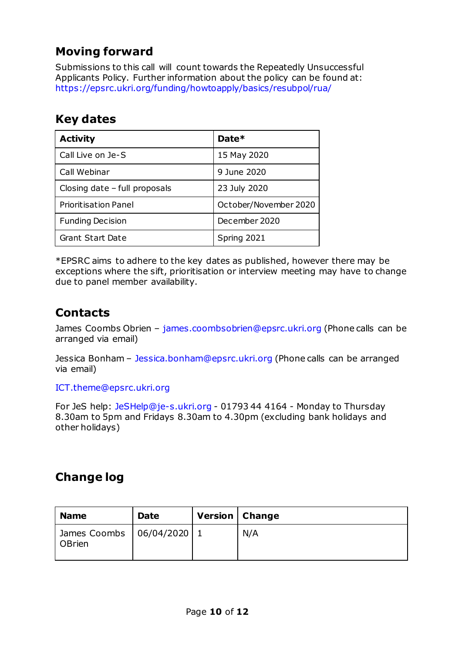# <span id="page-9-0"></span>**Moving forward**

Submissions to this call will count towards the Repeatedly Unsuccessful Applicants Policy. Further information about the policy can be found at: <https://epsrc.ukri.org/funding/howtoapply/basics/resubpol/rua/>

### <span id="page-9-1"></span>**Key dates**

| <b>Activity</b>               | Date*                 |  |
|-------------------------------|-----------------------|--|
| Call Live on Je-S             | 15 May 2020           |  |
| Call Webinar                  | 9 June 2020           |  |
| Closing date - full proposals | 23 July 2020          |  |
| <b>Prioritisation Panel</b>   | October/November 2020 |  |
| <b>Funding Decision</b>       | December 2020         |  |
| Grant Start Date              | Spring 2021           |  |

<span id="page-9-2"></span>\*EPSRC aims to adhere to the key dates as published, however there may be exceptions where the sift, prioritisation or interview meeting may have to change due to panel member availability.

### **Contacts**

<span id="page-9-3"></span>James Coombs Obrien – [james.coombsobrien@epsrc.ukri.org](mailto:james.coombsobrien@epsrc.ukri.org) (Phone calls can be arranged via email)

Jessica Bonham – [Jessica.bonham@epsrc.ukri.org](mailto:Jessica.bonham@epsrc.ukri.org) (Phone calls can be arranged via email)

#### [ICT.theme@epsrc.ukri.org](mailto:ICT.theme@epsrc.ukri.org)

For JeS help: [JeSHelp@je-s.ukri.org](mailto:JeSHelp@je-s.ukri.org) - 01793 44 4164 - Monday to Thursday 8.30am to 5pm and Fridays 8.30am to 4.30pm (excluding bank holidays and other holidays)

## **Change log**

| <b>Name</b>                                    | <b>Date</b> | <b>Version</b>   Change |     |
|------------------------------------------------|-------------|-------------------------|-----|
| James Coombs   06/04/2020   1<br><b>OBrien</b> |             |                         | N/A |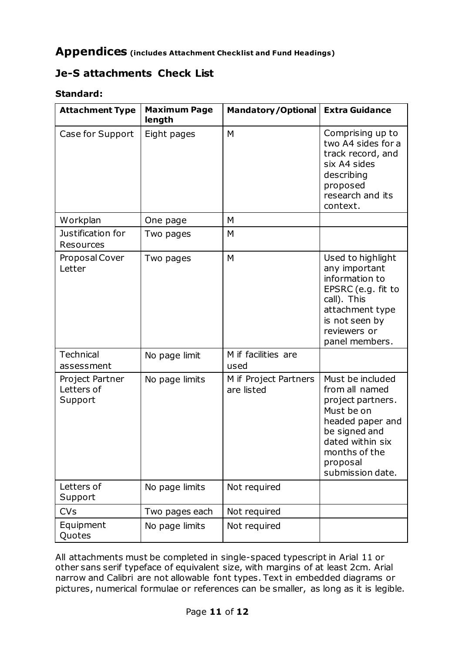### <span id="page-10-0"></span>**Appendices (includes Attachment Checklist and Fund Headings)**

### **Je-S attachments Check List**

#### **Standard:**

| <b>Attachment Type</b>                   | <b>Maximum Page</b><br>length | <b>Mandatory/Optional</b>           | <b>Extra Guidance</b>                                                                                                                                                           |
|------------------------------------------|-------------------------------|-------------------------------------|---------------------------------------------------------------------------------------------------------------------------------------------------------------------------------|
| Case for Support                         | Eight pages                   | M                                   | Comprising up to<br>two A4 sides for a<br>track record, and<br>six A4 sides<br>describing<br>proposed<br>research and its<br>context.                                           |
| Workplan                                 | One page                      | M                                   |                                                                                                                                                                                 |
| Justification for<br>Resources           | Two pages                     | M                                   |                                                                                                                                                                                 |
| Proposal Cover<br>Letter                 | Two pages                     | M                                   | Used to highlight<br>any important<br>information to<br>EPSRC (e.g. fit to<br>call). This<br>attachment type<br>is not seen by<br>reviewers or<br>panel members.                |
| <b>Technical</b><br>assessment           | No page limit                 | M if facilities are<br>used         |                                                                                                                                                                                 |
| Project Partner<br>Letters of<br>Support | No page limits                | M if Project Partners<br>are listed | Must be included<br>from all named<br>project partners.<br>Must be on<br>headed paper and<br>be signed and<br>dated within six<br>months of the<br>proposal<br>submission date. |
| Letters of<br>Support                    | No page limits                | Not required                        |                                                                                                                                                                                 |
| <b>CVs</b>                               | Two pages each                | Not required                        |                                                                                                                                                                                 |
| Equipment<br>Quotes                      | No page limits                | Not required                        |                                                                                                                                                                                 |

All attachments must be completed in single-spaced typescript in Arial 11 or other sans serif typeface of equivalent size, with margins of at least 2cm. Arial narrow and Calibri are not allowable font types. Text in embedded diagrams or pictures, numerical formulae or references can be smaller, as long as it is legible.